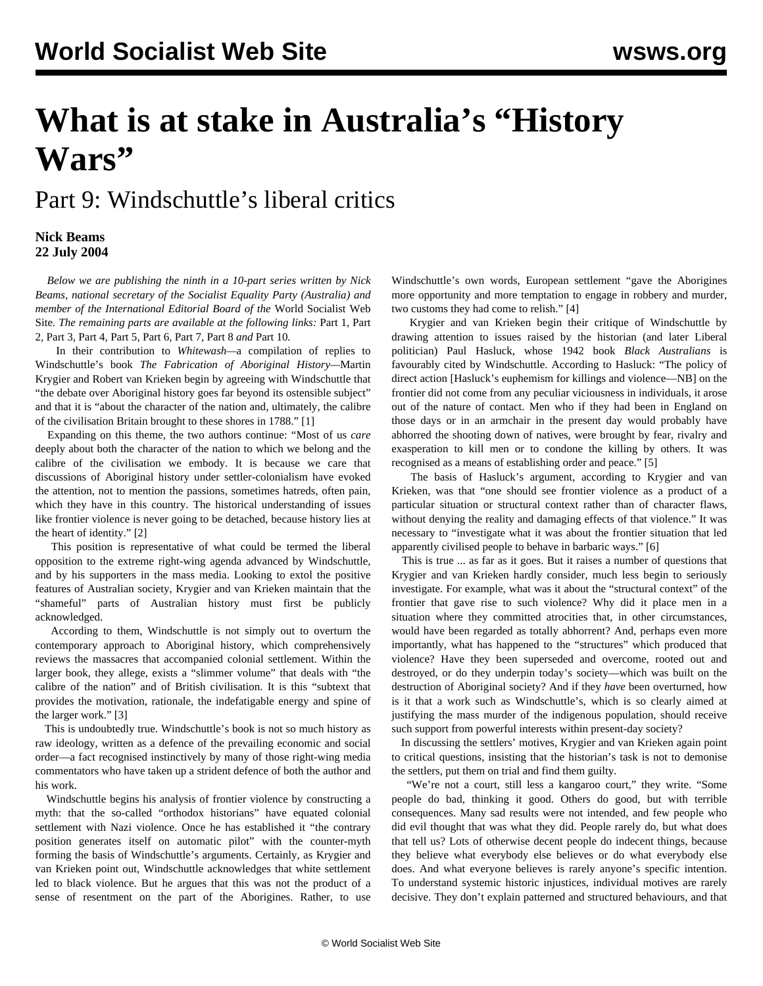# **What is at stake in Australia's "History Wars"**

## Part 9: Windschuttle's liberal critics

#### **Nick Beams 22 July 2004**

 *Below we are publishing the ninth in a 10-part series written by Nick Beams, national secretary of the Socialist Equality Party (Australia) and member of the International Editorial Board of the* World Socialist Web Site*. The remaining parts are available at the following links:* [Part 1](/en/articles/2004/07/hiw1-j12.html)*,* [Part](/en/articles/2004/07/hiw2-j13.html) [2](/en/articles/2004/07/hiw2-j13.html)*,* [Part 3](/en/articles/2004/07/hiw3-j14.html)*,* [Part 4](/en/articles/2004/07/hiw4-j15.html)*,* [Part 5](/en/articles/2004/07/hiw5-j16.html)*,* [Part 6](/en/articles/2004/07/hiw6-j19.html)*,* [Part 7](/en/articles/2004/07/hiw7-j20.html)*,* [Part 8](/en/articles/2004/07/hiw8-j21.html) *and* [Part 10](/en/articles/2004/07/hw10-j23.html)*.*

 In their contribution to *Whitewash—*a compilation of replies to Windschuttle's book *The Fabrication of Aboriginal History—*Martin Krygier and Robert van Krieken begin by agreeing with Windschuttle that "the debate over Aboriginal history goes far beyond its ostensible subject" and that it is "about the character of the nation and, ultimately, the calibre of the civilisation Britain brought to these shores in 1788." [1]

 Expanding on this theme, the two authors continue: "Most of us *care* deeply about both the character of the nation to which we belong and the calibre of the civilisation we embody. It is because we care that discussions of Aboriginal history under settler-colonialism have evoked the attention, not to mention the passions, sometimes hatreds, often pain, which they have in this country. The historical understanding of issues like frontier violence is never going to be detached, because history lies at the heart of identity." [2]

 This position is representative of what could be termed the liberal opposition to the extreme right-wing agenda advanced by Windschuttle, and by his supporters in the mass media. Looking to extol the positive features of Australian society, Krygier and van Krieken maintain that the "shameful" parts of Australian history must first be publicly acknowledged.

 According to them, Windschuttle is not simply out to overturn the contemporary approach to Aboriginal history, which comprehensively reviews the massacres that accompanied colonial settlement. Within the larger book, they allege, exists a "slimmer volume" that deals with "the calibre of the nation" and of British civilisation. It is this "subtext that provides the motivation, rationale, the indefatigable energy and spine of the larger work." [3]

 This is undoubtedly true. Windschuttle's book is not so much history as raw ideology, written as a defence of the prevailing economic and social order—a fact recognised instinctively by many of those right-wing media commentators who have taken up a strident defence of both the author and his work.

 Windschuttle begins his analysis of frontier violence by constructing a myth: that the so-called "orthodox historians" have equated colonial settlement with Nazi violence. Once he has established it "the contrary position generates itself on automatic pilot" with the counter-myth forming the basis of Windschuttle's arguments. Certainly, as Krygier and van Krieken point out, Windschuttle acknowledges that white settlement led to black violence. But he argues that this was not the product of a sense of resentment on the part of the Aborigines. Rather, to use Windschuttle's own words, European settlement "gave the Aborigines more opportunity and more temptation to engage in robbery and murder, two customs they had come to relish." [4]

 Krygier and van Krieken begin their critique of Windschuttle by drawing attention to issues raised by the historian (and later Liberal politician) Paul Hasluck, whose 1942 book *Black Australians* is favourably cited by Windschuttle. According to Hasluck: "The policy of direct action [Hasluck's euphemism for killings and violence—NB] on the frontier did not come from any peculiar viciousness in individuals, it arose out of the nature of contact. Men who if they had been in England on those days or in an armchair in the present day would probably have abhorred the shooting down of natives, were brought by fear, rivalry and exasperation to kill men or to condone the killing by others. It was recognised as a means of establishing order and peace." [5]

 The basis of Hasluck's argument, according to Krygier and van Krieken, was that "one should see frontier violence as a product of a particular situation or structural context rather than of character flaws, without denying the reality and damaging effects of that violence." It was necessary to "investigate what it was about the frontier situation that led apparently civilised people to behave in barbaric ways." [6]

 This is true ... as far as it goes. But it raises a number of questions that Krygier and van Krieken hardly consider, much less begin to seriously investigate. For example, what was it about the "structural context" of the frontier that gave rise to such violence? Why did it place men in a situation where they committed atrocities that, in other circumstances, would have been regarded as totally abhorrent? And, perhaps even more importantly, what has happened to the "structures" which produced that violence? Have they been superseded and overcome, rooted out and destroyed, or do they underpin today's society—which was built on the destruction of Aboriginal society? And if they *have* been overturned, how is it that a work such as Windschuttle's, which is so clearly aimed at justifying the mass murder of the indigenous population, should receive such support from powerful interests within present-day society?

 In discussing the settlers' motives, Krygier and van Krieken again point to critical questions, insisting that the historian's task is not to demonise the settlers, put them on trial and find them guilty.

 "We're not a court, still less a kangaroo court," they write. "Some people do bad, thinking it good. Others do good, but with terrible consequences. Many sad results were not intended, and few people who did evil thought that was what they did. People rarely do, but what does that tell us? Lots of otherwise decent people do indecent things, because they believe what everybody else believes or do what everybody else does. And what everyone believes is rarely anyone's specific intention. To understand systemic historic injustices, individual motives are rarely decisive. They don't explain patterned and structured behaviours, and that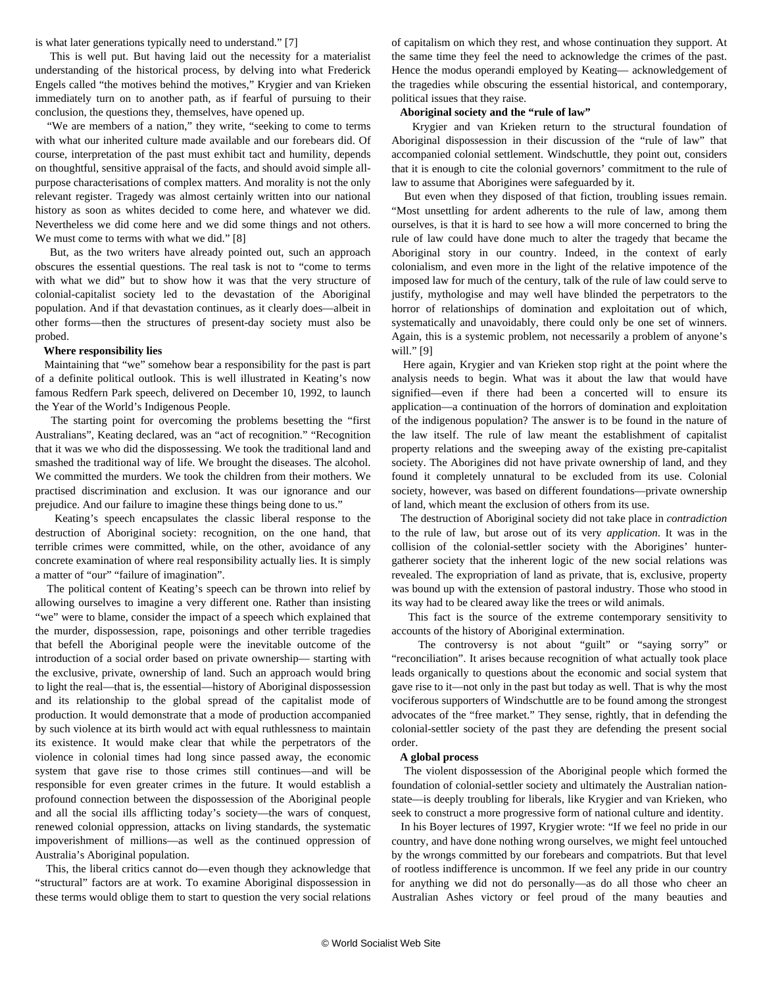is what later generations typically need to understand." [7]

 This is well put. But having laid out the necessity for a materialist understanding of the historical process, by delving into what Frederick Engels called "the motives behind the motives," Krygier and van Krieken immediately turn on to another path, as if fearful of pursuing to their conclusion, the questions they, themselves, have opened up.

 "We are members of a nation," they write, "seeking to come to terms with what our inherited culture made available and our forebears did. Of course, interpretation of the past must exhibit tact and humility, depends on thoughtful, sensitive appraisal of the facts, and should avoid simple allpurpose characterisations of complex matters. And morality is not the only relevant register. Tragedy was almost certainly written into our national history as soon as whites decided to come here, and whatever we did. Nevertheless we did come here and we did some things and not others. We must come to terms with what we did." [8]

 But, as the two writers have already pointed out, such an approach obscures the essential questions. The real task is not to "come to terms with what we did" but to show how it was that the very structure of colonial-capitalist society led to the devastation of the Aboriginal population. And if that devastation continues, as it clearly does—albeit in other forms—then the structures of present-day society must also be probed.

#### **Where responsibility lies**

 Maintaining that "we" somehow bear a responsibility for the past is part of a definite political outlook. This is well illustrated in Keating's now famous Redfern Park speech, delivered on December 10, 1992, to launch the Year of the World's Indigenous People.

 The starting point for overcoming the problems besetting the "first Australians", Keating declared, was an "act of recognition." "Recognition that it was we who did the dispossessing. We took the traditional land and smashed the traditional way of life. We brought the diseases. The alcohol. We committed the murders. We took the children from their mothers. We practised discrimination and exclusion. It was our ignorance and our prejudice. And our failure to imagine these things being done to us."

 Keating's speech encapsulates the classic liberal response to the destruction of Aboriginal society: recognition, on the one hand, that terrible crimes were committed, while, on the other, avoidance of any concrete examination of where real responsibility actually lies. It is simply a matter of "our" "failure of imagination".

 The political content of Keating's speech can be thrown into relief by allowing ourselves to imagine a very different one. Rather than insisting "we" were to blame, consider the impact of a speech which explained that the murder, dispossession, rape, poisonings and other terrible tragedies that befell the Aboriginal people were the inevitable outcome of the introduction of a social order based on private ownership— starting with the exclusive, private, ownership of land. Such an approach would bring to light the real—that is, the essential—history of Aboriginal dispossession and its relationship to the global spread of the capitalist mode of production. It would demonstrate that a mode of production accompanied by such violence at its birth would act with equal ruthlessness to maintain its existence. It would make clear that while the perpetrators of the violence in colonial times had long since passed away, the economic system that gave rise to those crimes still continues—and will be responsible for even greater crimes in the future. It would establish a profound connection between the dispossession of the Aboriginal people and all the social ills afflicting today's society—the wars of conquest, renewed colonial oppression, attacks on living standards, the systematic impoverishment of millions—as well as the continued oppression of Australia's Aboriginal population.

 This, the liberal critics cannot do—even though they acknowledge that "structural" factors are at work. To examine Aboriginal dispossession in these terms would oblige them to start to question the very social relations

of capitalism on which they rest, and whose continuation they support. At the same time they feel the need to acknowledge the crimes of the past. Hence the modus operandi employed by Keating— acknowledgement of the tragedies while obscuring the essential historical, and contemporary, political issues that they raise.

#### **Aboriginal society and the "rule of law"**

 Krygier and van Krieken return to the structural foundation of Aboriginal dispossession in their discussion of the "rule of law" that accompanied colonial settlement. Windschuttle, they point out, considers that it is enough to cite the colonial governors' commitment to the rule of law to assume that Aborigines were safeguarded by it.

 But even when they disposed of that fiction, troubling issues remain. "Most unsettling for ardent adherents to the rule of law, among them ourselves, is that it is hard to see how a will more concerned to bring the rule of law could have done much to alter the tragedy that became the Aboriginal story in our country. Indeed, in the context of early colonialism, and even more in the light of the relative impotence of the imposed law for much of the century, talk of the rule of law could serve to justify, mythologise and may well have blinded the perpetrators to the horror of relationships of domination and exploitation out of which, systematically and unavoidably, there could only be one set of winners. Again, this is a systemic problem, not necessarily a problem of anyone's will." [9]

 Here again, Krygier and van Krieken stop right at the point where the analysis needs to begin. What was it about the law that would have signified—even if there had been a concerted will to ensure its application—a continuation of the horrors of domination and exploitation of the indigenous population? The answer is to be found in the nature of the law itself. The rule of law meant the establishment of capitalist property relations and the sweeping away of the existing pre-capitalist society. The Aborigines did not have private ownership of land, and they found it completely unnatural to be excluded from its use. Colonial society, however, was based on different foundations—private ownership of land, which meant the exclusion of others from its use.

 The destruction of Aboriginal society did not take place in *contradiction* to the rule of law, but arose out of its very *application*. It was in the collision of the colonial-settler society with the Aborigines' huntergatherer society that the inherent logic of the new social relations was revealed. The expropriation of land as private, that is, exclusive, property was bound up with the extension of pastoral industry. Those who stood in its way had to be cleared away like the trees or wild animals.

 This fact is the source of the extreme contemporary sensitivity to accounts of the history of Aboriginal extermination.

 The controversy is not about "guilt" or "saying sorry" or "reconciliation". It arises because recognition of what actually took place leads organically to questions about the economic and social system that gave rise to it—not only in the past but today as well. That is why the most vociferous supporters of Windschuttle are to be found among the strongest advocates of the "free market." They sense, rightly, that in defending the colonial-settler society of the past they are defending the present social order.

#### **A global process**

 The violent dispossession of the Aboriginal people which formed the foundation of colonial-settler society and ultimately the Australian nationstate—is deeply troubling for liberals, like Krygier and van Krieken, who seek to construct a more progressive form of national culture and identity.

 In his Boyer lectures of 1997, Krygier wrote: "If we feel no pride in our country, and have done nothing wrong ourselves, we might feel untouched by the wrongs committed by our forebears and compatriots. But that level of rootless indifference is uncommon. If we feel any pride in our country for anything we did not do personally—as do all those who cheer an Australian Ashes victory or feel proud of the many beauties and